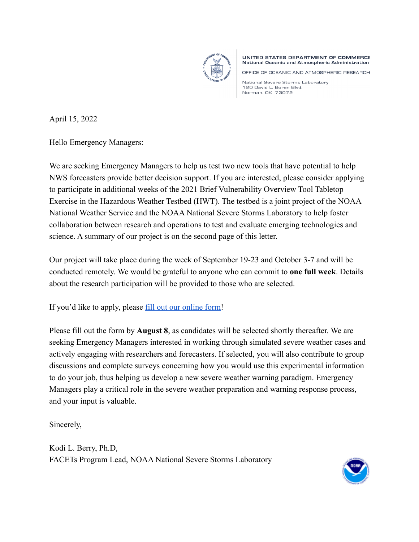

UNITED STATES DEPARTMENT OF COMMERCE **National Oceanic and Atmospheric Administration** 

OFFICE OF OCEANIC AND ATMOSPHERIC RESEARCH

National Severe Storms Laboratory 120 David L. Boren Blvd. Norman, OK 73072

April 15, 2022

Hello Emergency Managers:

We are seeking Emergency Managers to help us test two new tools that have potential to help NWS forecasters provide better decision support. If you are interested, please consider applying to participate in additional weeks of the 2021 Brief Vulnerability Overview Tool Tabletop Exercise in the Hazardous Weather Testbed (HWT). The testbed is a joint project of the NOAA National Weather Service and the NOAA National Severe Storms Laboratory to help foster collaboration between research and operations to test and evaluate emerging technologies and science. A summary of our project is on the second page of this letter.

Our project will take place during the week of September 19-23 and October 3-7 and will be conducted remotely. We would be grateful to anyone who can commit to **one full week**. Details about the research participation will be provided to those who are selected.

If you'd like to apply, please [fill out our online form!](https://docs.google.com/forms/d/e/1FAIpQLSewEIiZVl1iSwW5QdRHDqRao7VjAcnIx8uSpuzbTVI8MVNurQ/viewform?usp=sf_link)

Please fill out the form by **August 8**, as candidates will be selected shortly thereafter. We are seeking Emergency Managers interested in working through simulated severe weather cases and actively engaging with researchers and forecasters. If selected, you will also contribute to group discussions and complete surveys concerning how you would use this experimental information to do your job, thus helping us develop a new severe weather warning paradigm. Emergency Managers play a critical role in the severe weather preparation and warning response process, and your input is valuable.

Sincerely,

Kodi L. Berry, Ph.D, FACETs Program Lead, NOAA National Severe Storms Laboratory